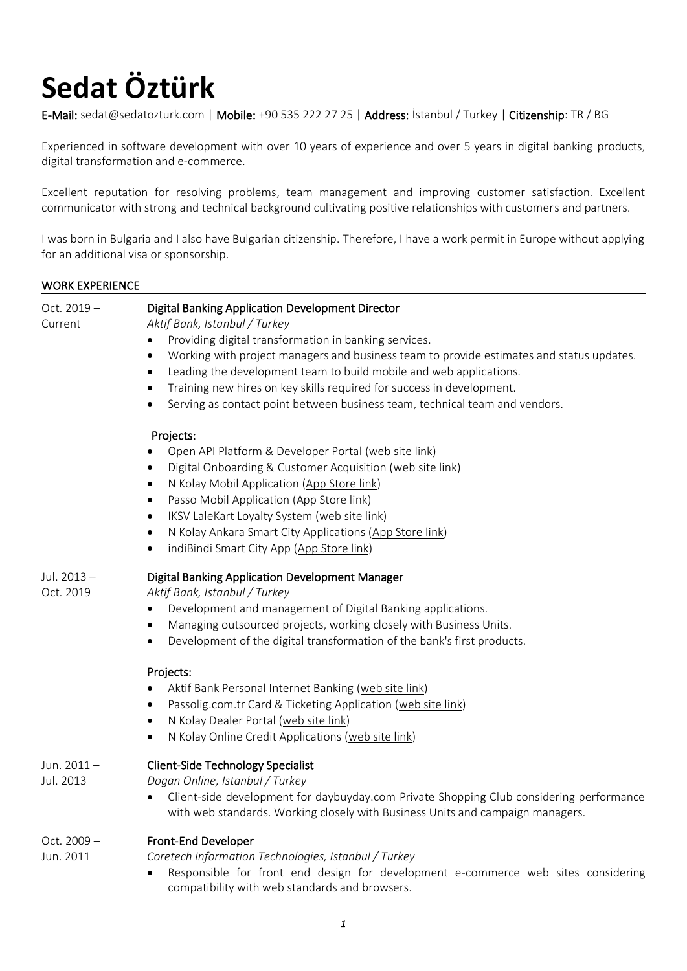# **Sedat Öztürk**

E-Mail: sedat@sedatozturk.com | Mobile: +90 535 222 27 25 | Address: İstanbul / Turkey | Citizenship: TR / BG

Experienced in software development with over 10 years of experience and over 5 years in digital banking products, digital transformation and e-commerce.

Excellent reputation for resolving problems, team management and improving customer satisfaction. Excellent communicator with strong and technical background cultivating positive relationships with customers and partners.

I was born in Bulgaria and I also have Bulgarian citizenship. Therefore, I have a work permit in Europe without applying for an additional visa or sponsorship.

# WORK EXPERIENCE

| Oct. 2019-<br>Current      | Digital Banking Application Development Director<br>Aktif Bank, Istanbul / Turkey<br>Providing digital transformation in banking services.<br>Working with project managers and business team to provide estimates and status updates.<br>٠<br>Leading the development team to build mobile and web applications.<br>$\bullet$<br>Training new hires on key skills required for success in development.<br>$\bullet$<br>Serving as contact point between business team, technical team and vendors. |  |
|----------------------------|-----------------------------------------------------------------------------------------------------------------------------------------------------------------------------------------------------------------------------------------------------------------------------------------------------------------------------------------------------------------------------------------------------------------------------------------------------------------------------------------------------|--|
|                            | Projects:<br>Open API Platform & Developer Portal (web site link)<br>Digital Onboarding & Customer Acquisition (web site link)<br>$\bullet$<br>N Kolay Mobil Application (App Store link)<br>Passo Mobil Application (App Store link)<br>٠<br>IKSV LaleKart Loyalty System (web site link)<br>$\bullet$<br>N Kolay Ankara Smart City Applications (App Store link)<br>indiBindi Smart City App (App Store link)<br>٠                                                                                |  |
| Jul. 2013-<br>Oct. 2019    | <b>Digital Banking Application Development Manager</b><br>Aktif Bank, Istanbul / Turkey<br>Development and management of Digital Banking applications.<br>$\bullet$<br>Managing outsourced projects, working closely with Business Units.<br>$\bullet$<br>Development of the digital transformation of the bank's first products.                                                                                                                                                                   |  |
|                            | Projects:<br>Aktif Bank Personal Internet Banking (web site link)<br>Passolig.com.tr Card & Ticketing Application (web site link)<br>$\bullet$<br>N Kolay Dealer Portal (web site link)<br>N Kolay Online Credit Applications (web site link)<br>٠                                                                                                                                                                                                                                                  |  |
| Jun. $2011 -$<br>Jul. 2013 | <b>Client-Side Technology Specialist</b><br>Dogan Online, Istanbul / Turkey<br>Client-side development for daybuyday.com Private Shopping Club considering performance<br>with web standards. Working closely with Business Units and campaign managers.                                                                                                                                                                                                                                            |  |
| Oct. $2009 -$<br>Jun. 2011 | Front-End Developer<br>Coretech Information Technologies, Istanbul / Turkey<br>Responsible for front end design for development e-commerce web sites considering<br>compatibility with web standards and browsers.                                                                                                                                                                                                                                                                                  |  |